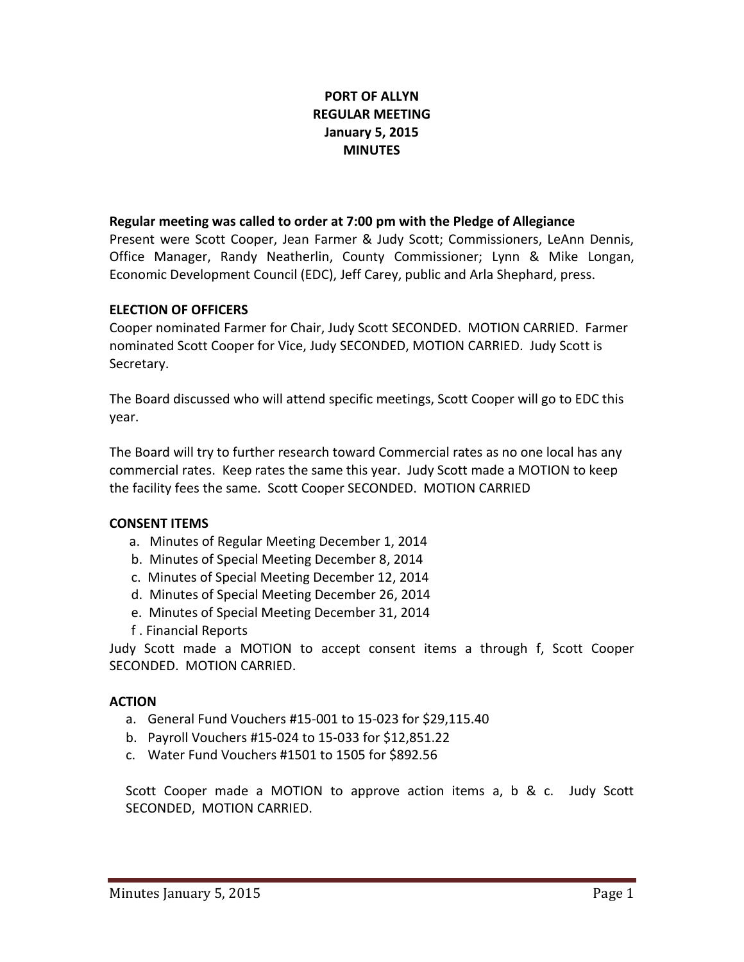# **PORT OF ALLYN REGULAR MEETING January 5, 2015 MINUTES**

#### **Regular meeting was called to order at 7:00 pm with the Pledge of Allegiance**

Present were Scott Cooper, Jean Farmer & Judy Scott; Commissioners, LeAnn Dennis, Office Manager, Randy Neatherlin, County Commissioner; Lynn & Mike Longan, Economic Development Council (EDC), Jeff Carey, public and Arla Shephard, press.

### **ELECTION OF OFFICERS**

Cooper nominated Farmer for Chair, Judy Scott SECONDED. MOTION CARRIED. Farmer nominated Scott Cooper for Vice, Judy SECONDED, MOTION CARRIED. Judy Scott is Secretary.

The Board discussed who will attend specific meetings, Scott Cooper will go to EDC this year.

The Board will try to further research toward Commercial rates as no one local has any commercial rates. Keep rates the same this year. Judy Scott made a MOTION to keep the facility fees the same. Scott Cooper SECONDED. MOTION CARRIED

## **CONSENT ITEMS**

- a. Minutes of Regular Meeting December 1, 2014
- b. Minutes of Special Meeting December 8, 2014
- c. Minutes of Special Meeting December 12, 2014
- d. Minutes of Special Meeting December 26, 2014
- e. Minutes of Special Meeting December 31, 2014
- f . Financial Reports

Judy Scott made a MOTION to accept consent items a through f, Scott Cooper SECONDED. MOTION CARRIED.

## **ACTION**

- a. General Fund Vouchers #15-001 to 15-023 for \$29,115.40
- b. Payroll Vouchers #15-024 to 15-033 for \$12,851.22
- c. Water Fund Vouchers #1501 to 1505 for \$892.56

Scott Cooper made a MOTION to approve action items a, b & c. Judy Scott SECONDED, MOTION CARRIED.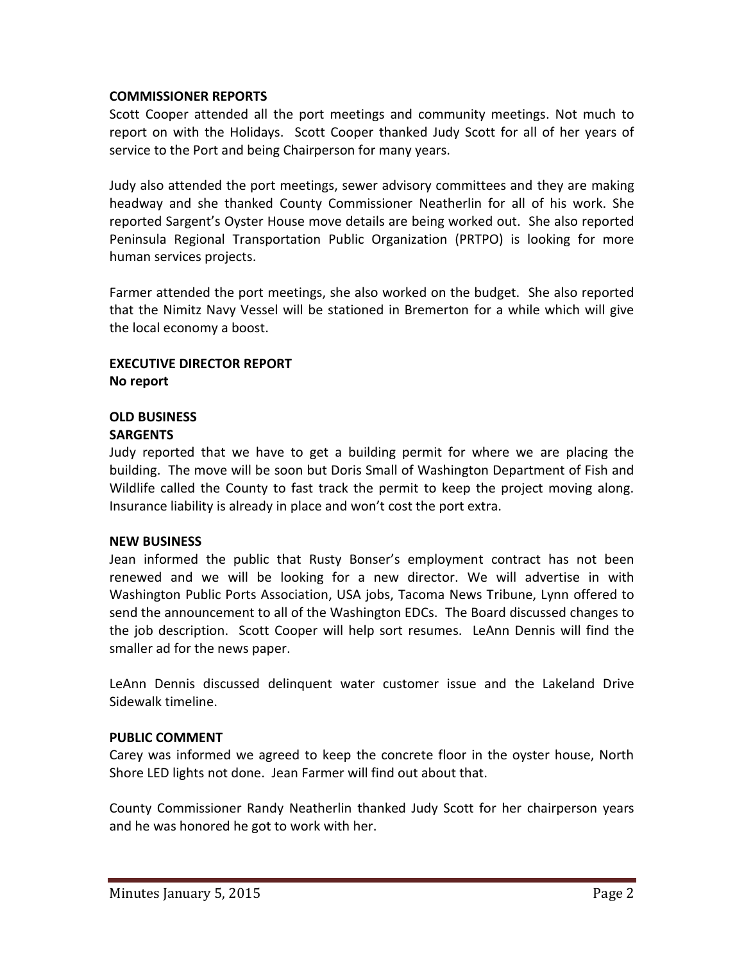### **COMMISSIONER REPORTS**

Scott Cooper attended all the port meetings and community meetings. Not much to report on with the Holidays. Scott Cooper thanked Judy Scott for all of her years of service to the Port and being Chairperson for many years.

Judy also attended the port meetings, sewer advisory committees and they are making headway and she thanked County Commissioner Neatherlin for all of his work. She reported Sargent's Oyster House move details are being worked out. She also reported Peninsula Regional Transportation Public Organization (PRTPO) is looking for more human services projects.

Farmer attended the port meetings, she also worked on the budget. She also reported that the Nimitz Navy Vessel will be stationed in Bremerton for a while which will give the local economy a boost.

### **EXECUTIVE DIRECTOR REPORT No report**

#### **OLD BUSINESS SARGENTS**

Judy reported that we have to get a building permit for where we are placing the building. The move will be soon but Doris Small of Washington Department of Fish and Wildlife called the County to fast track the permit to keep the project moving along. Insurance liability is already in place and won't cost the port extra.

## **NEW BUSINESS**

Jean informed the public that Rusty Bonser's employment contract has not been renewed and we will be looking for a new director. We will advertise in with Washington Public Ports Association, USA jobs, Tacoma News Tribune, Lynn offered to send the announcement to all of the Washington EDCs. The Board discussed changes to the job description. Scott Cooper will help sort resumes. LeAnn Dennis will find the smaller ad for the news paper.

LeAnn Dennis discussed delinquent water customer issue and the Lakeland Drive Sidewalk timeline.

## **PUBLIC COMMENT**

Carey was informed we agreed to keep the concrete floor in the oyster house, North Shore LED lights not done. Jean Farmer will find out about that.

County Commissioner Randy Neatherlin thanked Judy Scott for her chairperson years and he was honored he got to work with her.